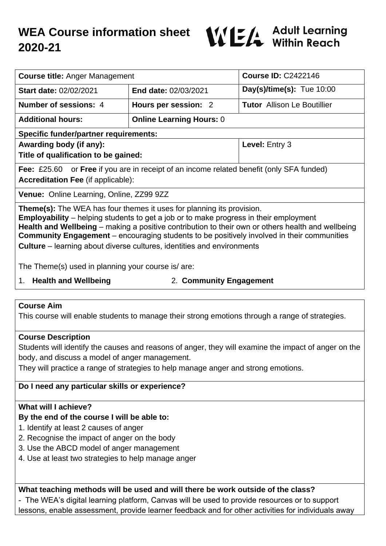# **WEA Course information sheet 2020-21**



| <b>Course title: Anger Management</b>                                                                                                                                                                                                                                                                                                                                                                                                                                   |                                 | <b>Course ID: C2422146</b>         |
|-------------------------------------------------------------------------------------------------------------------------------------------------------------------------------------------------------------------------------------------------------------------------------------------------------------------------------------------------------------------------------------------------------------------------------------------------------------------------|---------------------------------|------------------------------------|
| <b>Start date: 02/02/2021</b>                                                                                                                                                                                                                                                                                                                                                                                                                                           | <b>End date: 02/03/2021</b>     | $Day(s)/time(s)$ : Tue 10:00       |
| Number of sessions: 4                                                                                                                                                                                                                                                                                                                                                                                                                                                   | Hours per session: 2            | <b>Tutor</b> Allison Le Boutillier |
| <b>Additional hours:</b>                                                                                                                                                                                                                                                                                                                                                                                                                                                | <b>Online Learning Hours: 0</b> |                                    |
| <b>Specific funder/partner requirements:</b>                                                                                                                                                                                                                                                                                                                                                                                                                            |                                 |                                    |
| Awarding body (if any):                                                                                                                                                                                                                                                                                                                                                                                                                                                 |                                 | Level: Entry 3                     |
| Title of qualification to be gained:                                                                                                                                                                                                                                                                                                                                                                                                                                    |                                 |                                    |
| Fee: £25.60 or Free if you are in receipt of an income related benefit (only SFA funded)<br><b>Accreditation Fee (if applicable):</b>                                                                                                                                                                                                                                                                                                                                   |                                 |                                    |
| Venue: Online Learning, Online, ZZ99 9ZZ                                                                                                                                                                                                                                                                                                                                                                                                                                |                                 |                                    |
| <b>Theme(s):</b> The WEA has four themes it uses for planning its provision.<br><b>Employability</b> – helping students to get a job or to make progress in their employment<br>Health and Wellbeing – making a positive contribution to their own or others health and wellbeing<br><b>Community Engagement</b> – encouraging students to be positively involved in their communities<br><b>Culture</b> – learning about diverse cultures, identities and environments |                                 |                                    |

The Theme(s) used in planning your course is/ are:

1. **Health and Wellbeing** 2. **Community Engagement**

#### **Course Aim**

This course will enable students to manage their strong emotions through a range of strategies.

#### **Course Description**

Students will identify the causes and reasons of anger, they will examine the impact of anger on the body, and discuss a model of anger management.

They will practice a range of strategies to help manage anger and strong emotions.

#### **Do I need any particular skills or experience?**

#### **What will I achieve?**

#### **By the end of the course I will be able to:**

- 1. Identify at least 2 causes of anger
- 2. Recognise the impact of anger on the body
- 3. Use the ABCD model of anger management
- 4. Use at least two strategies to help manage anger

**What teaching methods will be used and will there be work outside of the class?** - The WEA's digital learning platform, Canvas will be used to provide resources or to support lessons, enable assessment, provide learner feedback and for other activities for individuals away